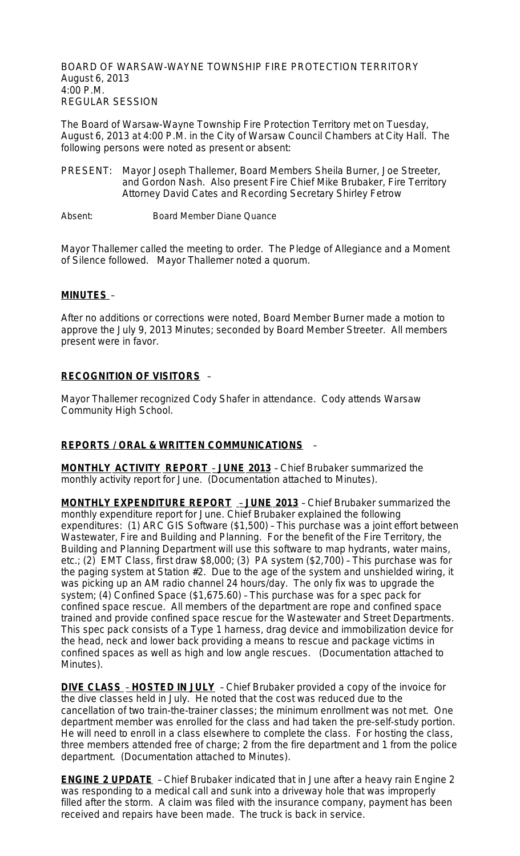BOARD OF WARSAW-WAYNE TOWNSHIP FIRE PROTECTION TERRITORY August 6, 2013 4:00 P.M. REGULAR SESSION

The Board of Warsaw-Wayne Township Fire Protection Territory met on Tuesday, August 6, 2013 at 4:00 P.M. in the City of Warsaw Council Chambers at City Hall. The following persons were noted as present or absent:

- PRESENT: Mayor Joseph Thallemer, Board Members Sheila Burner, Joe Streeter, and Gordon Nash. Also present Fire Chief Mike Brubaker, Fire Territory Attorney David Cates and Recording Secretary Shirley Fetrow
- Absent: Board Member Diane Quance

Mayor Thallemer called the meeting to order. The Pledge of Allegiance and a Moment of Silence followed. Mayor Thallemer noted a quorum.

### **MINUTES** –

After no additions or corrections were noted, Board Member Burner made a motion to approve the July 9, 2013 Minutes; seconded by Board Member Streeter. All members present were in favor.

## **RECOGNITION OF VISITORS** –

Mayor Thallemer recognized Cody Shafer in attendance. Cody attends Warsaw Community High School.

### **REPORTS / ORAL & WRITTEN COMMUNICATIONS** –

**MONTHLY ACTIVITY REPORT** – **JUNE 2013** – Chief Brubaker summarized the monthly activity report for June. (Documentation attached to Minutes).

**MONTHLY EXPENDITURE REPORT** – **JUNE 2013** – Chief Brubaker summarized the monthly expenditure report for June. Chief Brubaker explained the following expenditures: (1) ARC GIS Software (\$1,500) – This purchase was a joint effort between Wastewater, Fire and Building and Planning. For the benefit of the Fire Territory, the Building and Planning Department will use this software to map hydrants, water mains, etc.; (2) EMT Class, first draw \$8,000; (3) PA system (\$2,700) – This purchase was for the paging system at Station #2. Due to the age of the system and unshielded wiring, it was picking up an AM radio channel 24 hours/day. The only fix was to upgrade the system; (4) Confined Space (\$1,675.60) – This purchase was for a spec pack for confined space rescue. All members of the department are rope and confined space trained and provide confined space rescue for the Wastewater and Street Departments. This spec pack consists of a Type 1 harness, drag device and immobilization device for the head, neck and lower back providing a means to rescue and package victims in confined spaces as well as high and low angle rescues. (Documentation attached to Minutes).

**DIVE CLASS** – **HOSTED IN JULY** – Chief Brubaker provided a copy of the invoice for the dive classes held in July. He noted that the cost was reduced due to the cancellation of two train-the-trainer classes; the minimum enrollment was not met. One department member was enrolled for the class and had taken the pre-self-study portion. He will need to enroll in a class elsewhere to complete the class. For hosting the class, three members attended free of charge; 2 from the fire department and 1 from the police department. (Documentation attached to Minutes).

**ENGINE 2 UPDATE** – Chief Brubaker indicated that in June after a heavy rain Engine 2 was responding to a medical call and sunk into a driveway hole that was improperly filled after the storm. A claim was filed with the insurance company, payment has been received and repairs have been made. The truck is back in service.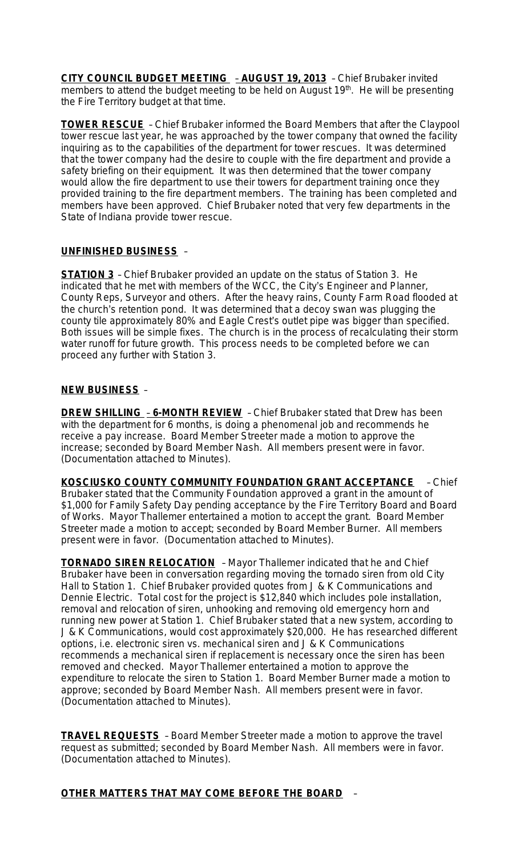**CITY COUNCIL BUDGET MEETING** – **AUGUST 19, 2013** – Chief Brubaker invited members to attend the budget meeting to be held on August 19<sup>th</sup>. He will be presenting the Fire Territory budget at that time.

**TOWER RESCUE** – Chief Brubaker informed the Board Members that after the Claypool tower rescue last year, he was approached by the tower company that owned the facility inquiring as to the capabilities of the department for tower rescues. It was determined that the tower company had the desire to couple with the fire department and provide a safety briefing on their equipment. It was then determined that the tower company would allow the fire department to use their towers for department training once they provided training to the fire department members. The training has been completed and members have been approved. Chief Brubaker noted that very few departments in the State of Indiana provide tower rescue.

## **UNFINISHED BUSINESS** –

**STATION 3** – Chief Brubaker provided an update on the status of Station 3. He indicated that he met with members of the WCC, the City's Engineer and Planner, County Reps, Surveyor and others. After the heavy rains, County Farm Road flooded at the church's retention pond. It was determined that a decoy swan was plugging the county tile approximately 80% and Eagle Crest's outlet pipe was bigger than specified. Both issues will be simple fixes. The church is in the process of recalculating their storm water runoff for future growth. This process needs to be completed before we can proceed any further with Station 3.

### **NEW BUSINESS** –

**DREW SHILLING** – **6-MONTH REVIEW** – Chief Brubaker stated that Drew has been with the department for 6 months, is doing a phenomenal job and recommends he receive a pay increase. Board Member Streeter made a motion to approve the increase; seconded by Board Member Nash. All members present were in favor. (Documentation attached to Minutes).

**KOSCIUSKO COUNTY COMMUNITY FOUNDATION GRANT ACCEPTANCE** – Chief Brubaker stated that the Community Foundation approved a grant in the amount of \$1,000 for Family Safety Day pending acceptance by the Fire Territory Board and Board of Works. Mayor Thallemer entertained a motion to accept the grant. Board Member Streeter made a motion to accept; seconded by Board Member Burner. All members present were in favor. (Documentation attached to Minutes).

**TORNADO SIREN RELOCATION** – Mayor Thallemer indicated that he and Chief Brubaker have been in conversation regarding moving the tornado siren from old City Hall to Station 1. Chief Brubaker provided quotes from J & K Communications and Dennie Electric. Total cost for the project is \$12,840 which includes pole installation, removal and relocation of siren, unhooking and removing old emergency horn and running new power at Station 1. Chief Brubaker stated that a new system, according to J & K Communications, would cost approximately \$20,000. He has researched different options, i.e. electronic siren vs. mechanical siren and J & K Communications recommends a mechanical siren if replacement is necessary once the siren has been removed and checked. Mayor Thallemer entertained a motion to approve the expenditure to relocate the siren to Station 1. Board Member Burner made a motion to approve; seconded by Board Member Nash. All members present were in favor. (Documentation attached to Minutes).

**TRAVEL REQUESTS** – Board Member Streeter made a motion to approve the travel request as submitted; seconded by Board Member Nash. All members were in favor. (Documentation attached to Minutes).

# **OTHER MATTERS THAT MAY COME BEFORE THE BOARD** –